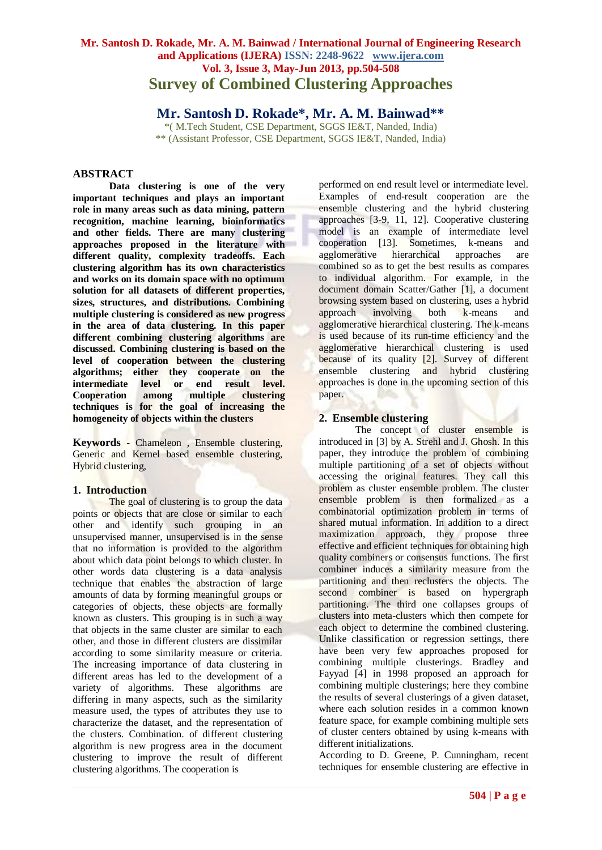# **Mr. Santosh D. Rokade, Mr. A. M. Bainwad / International Journal of Engineering Research and Applications (IJERA) ISSN: 2248-9622 www.ijera.com Vol. 3, Issue 3, May-Jun 2013, pp.504-508 Survey of Combined Clustering Approaches**

**Mr. Santosh D. Rokade\*, Mr. A. M. Bainwad\*\***

\*( M.Tech Student, CSE Department, SGGS IE&T, Nanded, India) \*\* (Assistant Professor, CSE Department, SGGS IE&T, Nanded, India)

# **ABSTRACT**

**Data clustering is one of the very important techniques and plays an important role in many areas such as data mining, pattern recognition, machine learning, bioinformatics and other fields. There are many clustering approaches proposed in the literature with different quality, complexity tradeoffs. Each clustering algorithm has its own characteristics and works on its domain space with no optimum solution for all datasets of different properties, sizes, structures, and distributions. Combining multiple clustering is considered as new progress in the area of data clustering. In this paper different combining clustering algorithms are discussed. Combining clustering is based on the level of cooperation between the clustering algorithms; either they cooperate on the intermediate level or end result level. Cooperation among multiple clustering techniques is for the goal of increasing the homogeneity of objects within the clusters**

**Keywords** *-* Chameleon , Ensemble clustering, Generic and Kernel based ensemble clustering, Hybrid clustering,

## **1. Introduction**

The goal of clustering is to group the data points or objects that are close or similar to each other and identify such grouping in an unsupervised manner, unsupervised is in the sense that no information is provided to the algorithm about which data point belongs to which cluster. In other words data clustering is a data analysis technique that enables the abstraction of large amounts of data by forming meaningful groups or categories of objects, these objects are formally known as clusters. This grouping is in such a way that objects in the same cluster are similar to each other, and those in different clusters are dissimilar according to some similarity measure or criteria. The increasing importance of data clustering in different areas has led to the development of a variety of algorithms. These algorithms are differing in many aspects, such as the similarity measure used, the types of attributes they use to characterize the dataset, and the representation of the clusters. Combination. of different clustering algorithm is new progress area in the document clustering to improve the result of different clustering algorithms. The cooperation is

performed on end result level or intermediate level. Examples of end-result cooperation are the ensemble clustering and the hybrid clustering approaches [3-9, 11, 12]. Cooperative clustering model is an example of intermediate level cooperation [13]. Sometimes, k-means and agglomerative hierarchical approaches are combined so as to get the best results as compares to individual algorithm. For example, in the document domain Scatter/Gather [1], a document browsing system based on clustering, uses a hybrid approach involving both k-means and agglomerative hierarchical clustering. The k-means is used because of its run-time efficiency and the agglomerative hierarchical clustering is used because of its quality [2]. Survey of different ensemble clustering and hybrid clustering approaches is done in the upcoming section of this paper.

# **2. Ensemble clustering**

The concept of cluster ensemble is introduced in [3] by A. Strehl and J. Ghosh. In this paper, they introduce the problem of combining multiple partitioning of a set of objects without accessing the original features. They call this problem as cluster ensemble problem. The cluster ensemble problem is then formalized as a combinatorial optimization problem in terms of shared mutual information. In addition to a direct maximization approach, they propose three effective and efficient techniques for obtaining high quality combiners or consensus functions. The first combiner induces a similarity measure from the partitioning and then reclusters the objects. The second combiner is based on hypergraph partitioning. The third one collapses groups of clusters into meta-clusters which then compete for each object to determine the combined clustering. Unlike classification or regression settings, there have been very few approaches proposed for combining multiple clusterings. Bradley and Fayyad [4] in 1998 proposed an approach for combining multiple clusterings; here they combine the results of several clusterings of a given dataset, where each solution resides in a common known feature space, for example combining multiple sets of cluster centers obtained by using k-means with different initializations.

According to D. Greene, P. Cunningham, recent techniques for ensemble clustering are effective in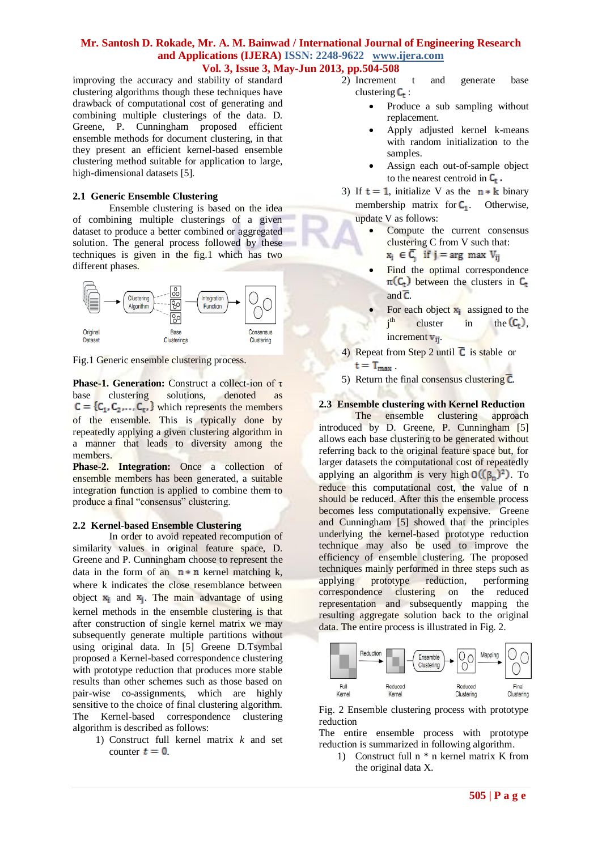improving the accuracy and stability of standard clustering algorithms though these techniques have drawback of computational cost of generating and combining multiple clusterings of the data. D. Greene, P. Cunningham proposed efficient ensemble methods for document clustering, in that they present an efficient kernel-based ensemble clustering method suitable for application to large, high-dimensional datasets [5].

#### **2.1 Generic Ensemble Clustering**

Ensemble clustering is based on the idea of combining multiple clusterings of a given dataset to produce a better combined or aggregated solution. The general process followed by these techniques is given in the fig.1 which has two different phases.



Fig.1 Generic ensemble clustering process.

**Phase-1. Generation:** Construct a collect-ion of τ base clustering solutions, denoted as  $C = \{C_1, C_2, \ldots, C_{\tau} \}$  which represents the members of the ensemble. This is typically done by repeatedly applying a given clustering algorithm in a manner that leads to diversity among the members.

**Phase-2. Integration:** Once a collection of ensemble members has been generated, a suitable integration function is applied to combine them to produce a final "consensus" clustering.

#### **2.2 Kernel-based Ensemble Clustering**

In order to avoid repeated recompution of similarity values in original feature space, D. Greene and P. Cunningham choose to represent the data in the form of an  $n * n$  kernel matching k, where k indicates the close resemblance between object  $x_i$  and  $x_i$ . The main advantage of using kernel methods in the ensemble clustering is that after construction of single kernel matrix we may subsequently generate multiple partitions without using original data. In [5] Greene D.Tsymbal proposed a Kernel-based correspondence clustering with prototype reduction that produces more stable results than other schemes such as those based on pair-wise co-assignments, which are highly sensitive to the choice of final clustering algorithm. The Kernel-based correspondence clustering algorithm is described as follows:

1) Construct full kernel matrix *k* and set counter  $t = 0$ .

- 2) Increment t and generate base clustering  $C_t$ :
	- Produce a sub sampling without replacement.
	- Apply adjusted kernel k-means with random initialization to the samples.
	- Assign each out-of-sample object to the nearest centroid in  $C_t$ .
- 3) If  $t = 1$ , initialize V as the  $n * k$  binary membership matrix for  $C_1$ . Otherwise,

update V as follows:

- Compute the current consensus clustering C from V such that:  $x_i \in \overline{C_i}$  if  $j = arg max V_{ij}$
- Find the optimal correspondence  $\pi(C_t)$  between the clusters in  $C_t$ and  $\overline{C}$ .
- For each object  $\mathbf{x}_i$  assigned to the  $i<sup>th</sup>$ cluster in the  $(C_t)$ , increment  $v_{ii}$ .
- 4) Repeat from Step 2 until  $\overline{C}$  is stable or
	- $t = T_{max}$
- 5) Return the final consensus clustering  $\overline{C}$ .

#### **2.3 Ensemble clustering with Kernel Reduction**

The ensemble clustering approach introduced by D. Greene, P. Cunningham [5] allows each base clustering to be generated without referring back to the original feature space but, for larger datasets the computational cost of repeatedly applying an algorithm is very high  $O((\beta_n)^2)$ . To reduce this computational cost, the value of n should be reduced. After this the ensemble process becomes less computationally expensive. Greene and Cunningham [5] showed that the principles underlying the kernel-based prototype reduction technique may also be used to improve the efficiency of ensemble clustering. The proposed techniques mainly performed in three steps such as applying prototype reduction, performing correspondence clustering on the reduced representation and subsequently mapping the resulting aggregate solution back to the original data. The entire process is illustrated in Fig. 2.



Fig. 2 Ensemble clustering process with prototype reduction

The entire ensemble process with prototype reduction is summarized in following algorithm.

1) Construct full n \* n kernel matrix K from the original data X.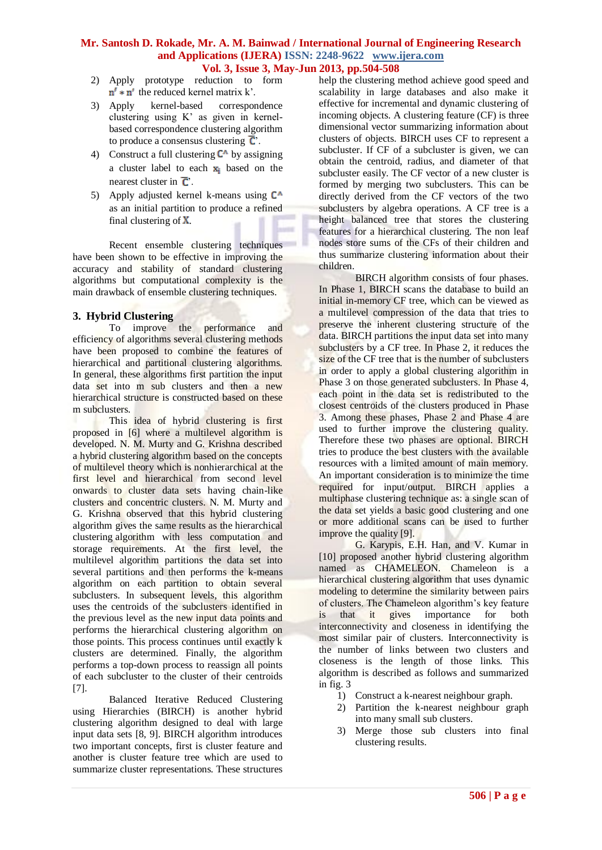- 2) Apply prototype reduction to form  $n' * n'$  the reduced kernel matrix k'.
- 3) Apply kernel-based correspondence clustering using K' as given in kernelbased correspondence clustering algorithm to produce a consensus clustering  $\overline{C}$ .
- 4) Construct a full clustering  $C^{\wedge}$  by assigning a cluster label to each  $x_i$  based on the nearest cluster in  $\overline{C}$ .
- 5) Apply adjusted kernel k-means using  $C^{\wedge}$ as an initial partition to produce a refined final clustering of  $X$ .

Recent ensemble clustering techniques have been shown to be effective in improving the accuracy and stability of standard clustering algorithms but computational complexity is the main drawback of ensemble clustering techniques.

# **3. Hybrid Clustering**

To improve the performance and efficiency of algorithms several clustering methods have been proposed to combine the features of hierarchical and partitional clustering algorithms. In general, these algorithms first partition the input data set into m sub clusters and then a new hierarchical structure is constructed based on these m subclusters.

This idea of hybrid clustering is first proposed in [6] where a multilevel algorithm is developed. N. M. Murty and G. Krishna described a hybrid clustering algorithm based on the concepts of multilevel theory which is nonhierarchical at the first level and hierarchical from second level onwards to cluster data sets having chain-like clusters and concentric clusters. N. M. Murty and G. Krishna observed that this hybrid clustering algorithm gives the same results as the [hierarchical](http://academic.research.microsoft.com/Keyword/18015/hierarchical-clustering)  [clustering](http://academic.research.microsoft.com/Keyword/18015/hierarchical-clustering) algorithm with less computation and storage requirements. At the first level, the multilevel algorithm partitions the data set into several partitions and then performs the k-means algorithm on each partition to obtain several subclusters. In subsequent levels, this algorithm uses the centroids of the subclusters identified in the previous level as the new input data points and performs the hierarchical clustering algorithm on those points. This process continues until exactly k clusters are determined. Finally, the algorithm performs a top-down process to reassign all points of each subcluster to the cluster of their centroids [7].

Balanced Iterative Reduced Clustering using Hierarchies (BIRCH) is another hybrid clustering algorithm designed to deal with large input data sets [8, 9]. BIRCH algorithm introduces two important concepts, first is cluster feature and another is cluster feature tree which are used to summarize cluster representations. These structures

help the clustering method achieve good speed and scalability in large databases and also make it effective for incremental and dynamic clustering of incoming objects. A clustering feature (CF) is three dimensional vector summarizing information about clusters of objects. BIRCH uses CF to represent a subcluster. If CF of a subcluster is given, we can obtain the centroid, radius, and diameter of that subcluster easily. The CF vector of a new cluster is formed by merging two subclusters. This can be directly derived from the CF vectors of the two subclusters by algebra operations. A CF tree is a height balanced tree that stores the clustering features for a hierarchical clustering. The non leaf nodes store sums of the CFs of their children and thus summarize clustering information about their children.

BIRCH algorithm consists of four phases. In Phase 1, BIRCH scans the database to build an initial in-memory CF tree, which can be viewed as a multilevel compression of the data that tries to preserve the inherent clustering structure of the data. BIRCH partitions the input data set into many subclusters by a CF tree. In Phase 2, it reduces the size of the CF tree that is the number of subclusters in order to apply a global clustering algorithm in Phase 3 on those generated subclusters. In Phase 4, each point in the data set is redistributed to the closest centroids of the clusters produced in Phase 3. Among these phases, Phase 2 and Phase 4 are used to further improve the clustering quality. Therefore these two phases are optional. BIRCH tries to produce the best clusters with the available resources with a limited amount of main memory. An important consideration is to minimize the time required for input/output. BIRCH applies a multiphase clustering technique as: a single scan of the data set yields a basic good clustering and one or more additional scans can be used to further improve the quality [9].

G. Karypis, E.H. Han, and V. Kumar in [10] proposed another hybrid clustering algorithm named as CHAMELEON. Chameleon is a hierarchical clustering algorithm that uses dynamic modeling to determine the similarity between pairs of clusters. The Chameleon algorithm's key feature is that it gives importance for both interconnectivity and closeness in identifying the most similar pair of clusters. Interconnectivity is the number of links between two clusters and closeness is the length of those links. This algorithm is described as follows and summarized in fig. 3

- 1) Construct a k-nearest neighbour graph.
- 2) Partition the k-nearest neighbour graph into many small sub clusters.
- 3) Merge those sub clusters into final clustering results.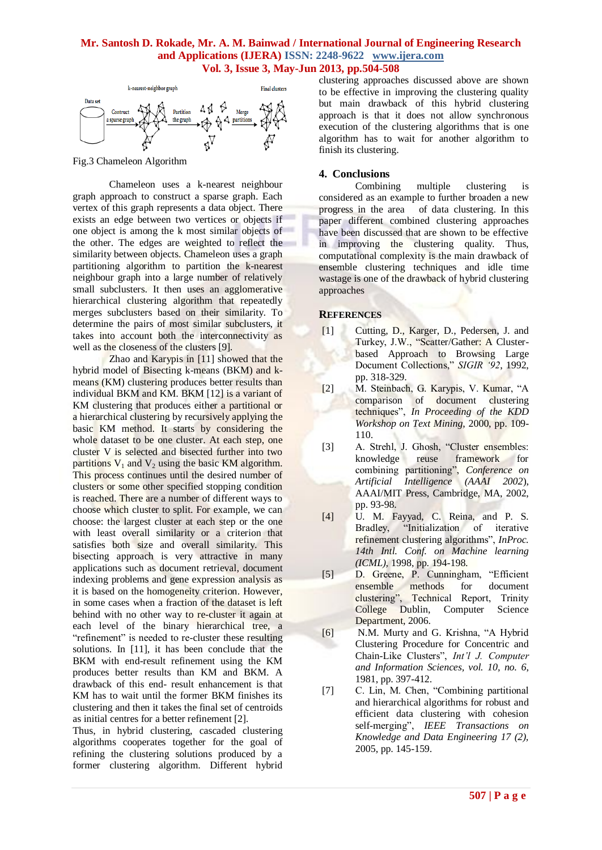

Fig.3 Chameleon Algorithm

Chameleon uses a k-nearest neighbour graph approach to construct a sparse graph. Each vertex of this graph represents a data object. There exists an edge between two vertices or objects if one object is among the k most similar objects of the other. The edges are weighted to reflect the similarity between objects. Chameleon uses a graph partitioning algorithm to partition the k-nearest neighbour graph into a large number of relatively small subclusters. It then uses an agglomerative hierarchical clustering algorithm that repeatedly merges subclusters based on their similarity. To determine the pairs of most similar subclusters, it takes into account both the interconnectivity as well as the closeness of the clusters [9].

Zhao and Karypis in [11] showed that the hybrid model of Bisecting k-means (BKM) and kmeans (KM) clustering produces better results than individual BKM and KM. BKM [12] is a variant of KM clustering that produces either a partitional or a hierarchical clustering by recursively applying the basic KM method. It starts by considering the whole dataset to be one cluster. At each step, one cluster V is selected and bisected further into two partitions  $V_1$  and  $V_2$  using the basic KM algorithm. This process continues until the desired number of clusters or some other specified stopping condition is reached. There are a number of different ways to choose which cluster to split. For example, we can choose: the largest cluster at each step or the one with least overall similarity or a criterion that satisfies both size and overall similarity. This bisecting approach is very attractive in many applications such as document retrieval, document indexing problems and gene expression analysis as it is based on the homogeneity criterion. However, in some cases when a fraction of the dataset is left behind with no other way to re-cluster it again at each level of the binary hierarchical tree, a "refinement" is needed to re-cluster these resulting solutions. In [11], it has been conclude that the BKM with end-result refinement using the KM produces better results than KM and BKM. A drawback of this end- result enhancement is that KM has to wait until the former BKM finishes its clustering and then it takes the final set of centroids as initial centres for a better refinement [2].

Thus, in hybrid clustering, cascaded clustering algorithms cooperates together for the goal of refining the clustering solutions produced by a former clustering algorithm. Different hybrid

clustering approaches discussed above are shown to be effective in improving the clustering quality but main drawback of this hybrid clustering approach is that it does not allow synchronous execution of the clustering algorithms that is one algorithm has to wait for another algorithm to finish its clustering.

### **4. Conclusions**

Combining multiple clustering is considered as an example to further broaden a new progress in the area of data clustering. In this paper different combined clustering approaches have been discussed that are shown to be effective in improving the clustering quality. Thus, computational complexity is the main drawback of ensemble clustering techniques and idle time wastage is one of the drawback of hybrid clustering approaches

### **REFERENCES**

- [1] Cutting, D., Karger, D., Pedersen, J. and Turkey, J.W., "Scatter/Gather: A Clusterbased Approach to Browsing Large Document Collections," *SIGIR '92*, 1992, pp. 318-329.
- [2] M. Steinbach, G. Karypis, V. Kumar, "A comparison of document clustering techniques", *In Proceeding of the KDD Workshop on Text Mining*, 2000, pp. 109- 110.
- [3] A. Strehl, J. Ghosh, "Cluster ensembles: knowledge reuse framework for combining partitioning", *Conference on Artificial Intelligence (AAAI 2002*), AAAI/MIT Press, Cambridge, MA, 2002, pp. 93-98.
- [4] U. M. Fayyad, C. Reina, and P. S. "Initialization of iterative refinement clustering algorithms", *InProc. 14th Intl. Conf. on Machine learning (ICML),* 1998, pp. 194-198.
- [5] D. Greene, P. Cunningham, "Efficient ensemble methods for document clustering", Technical Report, Trinity College Dublin, Computer Science Department, 2006.
- [6] N.M. Murty and G. Krishna, "A Hybrid Clustering Procedure for Concentric and Chain-Like Clusters", *Int'l J. Computer and Information Sciences, vol. 10, no. 6*, 1981, pp. 397-412.
- [7] C. Lin, M. Chen, "Combining partitional and hierarchical algorithms for robust and efficient data clustering with cohesion self-merging", *IEEE Transactions on Knowledge and Data Engineering 17 (2),* 2005, pp. 145-159.